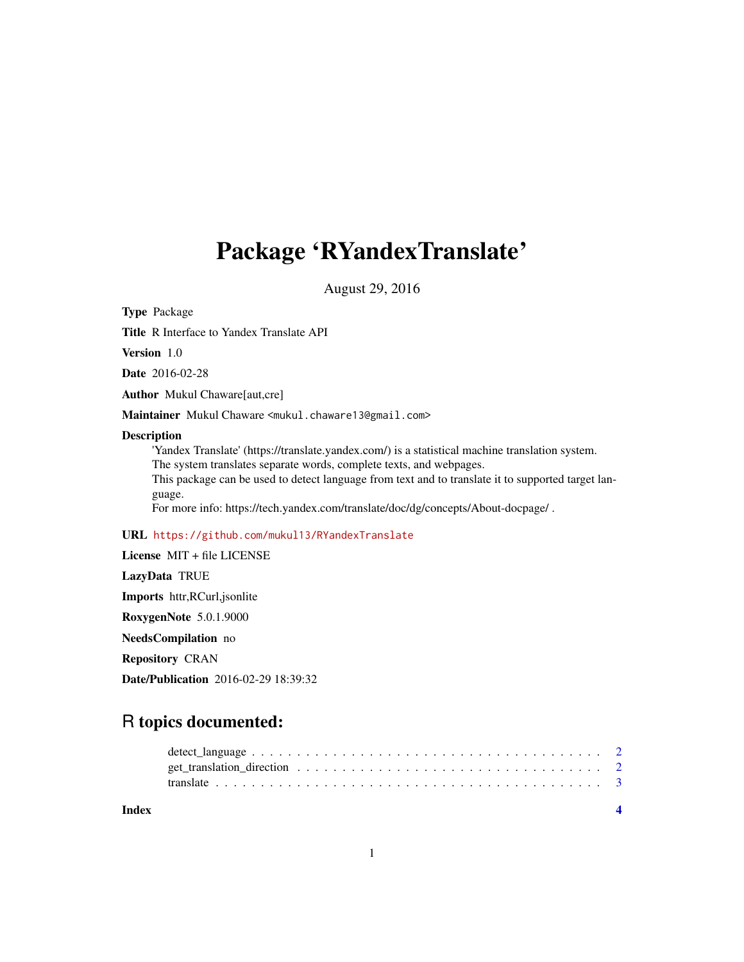# Package 'RYandexTranslate'

August 29, 2016

Type Package

Title R Interface to Yandex Translate API

Version 1.0

Date 2016-02-28

Author Mukul Chaware[aut,cre]

Maintainer Mukul Chaware <mukul.chaware13@gmail.com>

#### Description

'Yandex Translate' (https://translate.yandex.com/) is a statistical machine translation system. The system translates separate words, complete texts, and webpages. This package can be used to detect language from text and to translate it to supported target language. For more info: https://tech.yandex.com/translate/doc/dg/concepts/About-docpage/ .

#### URL <https://github.com/mukul13/RYandexTranslate>

License MIT + file LICENSE LazyData TRUE Imports httr,RCurl,jsonlite RoxygenNote 5.0.1.9000 NeedsCompilation no Repository CRAN Date/Publication 2016-02-29 18:39:32

# R topics documented:

| Index |  |  |  |
|-------|--|--|--|
|       |  |  |  |
|       |  |  |  |
|       |  |  |  |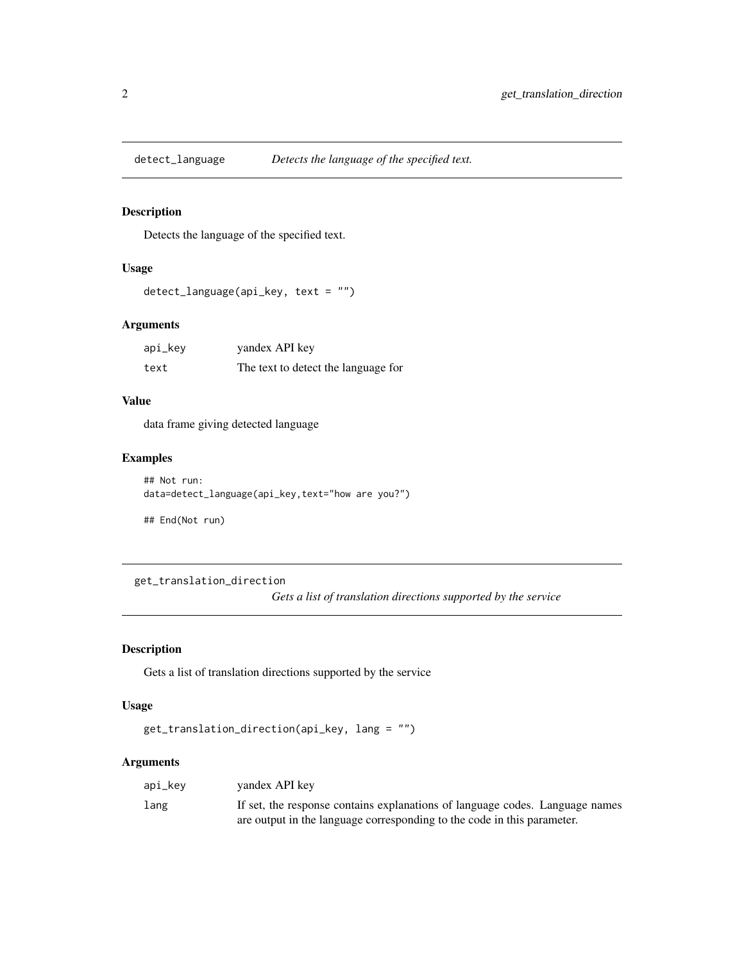<span id="page-1-0"></span>

#### Description

Detects the language of the specified text.

# Usage

```
detect_language(api_key, text = "")
```
#### Arguments

| api_key | yandex API key                      |
|---------|-------------------------------------|
| text    | The text to detect the language for |

#### Value

data frame giving detected language

#### Examples

```
## Not run:
data=detect_language(api_key,text="how are you?")
```
## End(Not run)

get\_translation\_direction *Gets a list of translation directions supported by the service*

#### Description

Gets a list of translation directions supported by the service

#### Usage

```
get_translation_direction(api_key, lang = "")
```
## Arguments

| api_kev | vandex API key                                                               |
|---------|------------------------------------------------------------------------------|
| lang    | If set, the response contains explanations of language codes. Language names |
|         | are output in the language corresponding to the code in this parameter.      |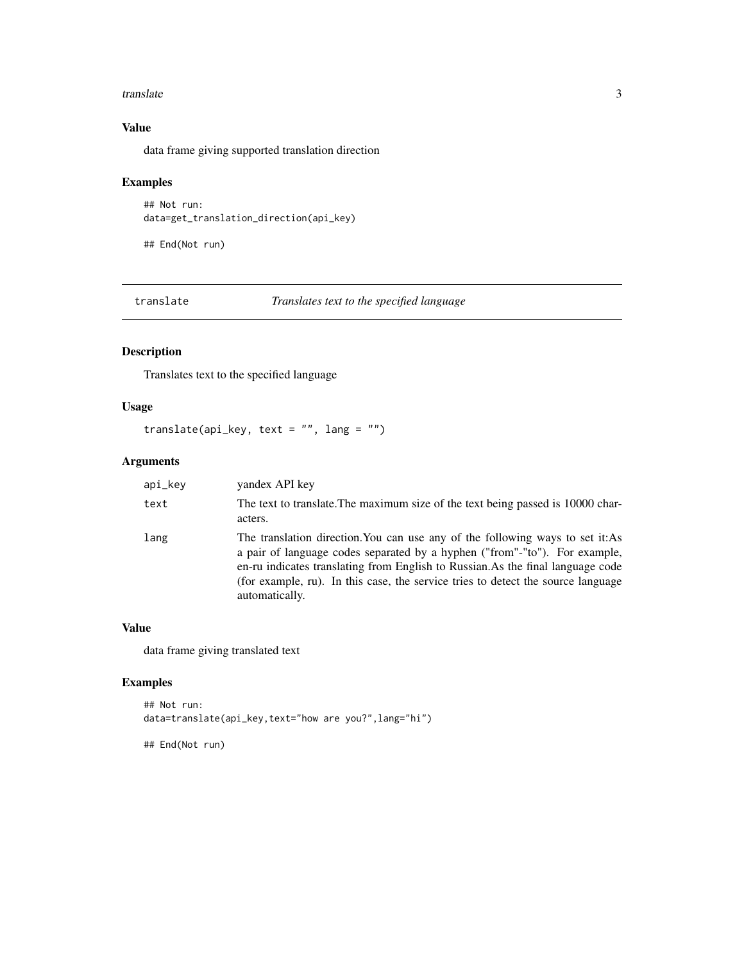#### <span id="page-2-0"></span>translate 3

## Value

data frame giving supported translation direction

#### Examples

```
## Not run:
data=get_translation_direction(api_key)
```
## End(Not run)

translate *Translates text to the specified language*

#### Description

Translates text to the specified language

## Usage

```
translate(api_key, text = ", lang = ")
```
# Arguments

| api_key | vandex API key                                                                                                                                                                                                                                                                                                                                        |
|---------|-------------------------------------------------------------------------------------------------------------------------------------------------------------------------------------------------------------------------------------------------------------------------------------------------------------------------------------------------------|
| text    | The text to translate. The maximum size of the text being passed is 10000 char-<br>acters.                                                                                                                                                                                                                                                            |
| lang    | The translation direction. You can use any of the following ways to set it: As<br>a pair of language codes separated by a hyphen ("from"-"to"). For example,<br>en-ru indicates translating from English to Russian. As the final language code<br>(for example, ru). In this case, the service tries to detect the source language<br>automatically. |

#### Value

data frame giving translated text

#### Examples

```
## Not run:
data=translate(api_key,text="how are you?",lang="hi")
```
## End(Not run)